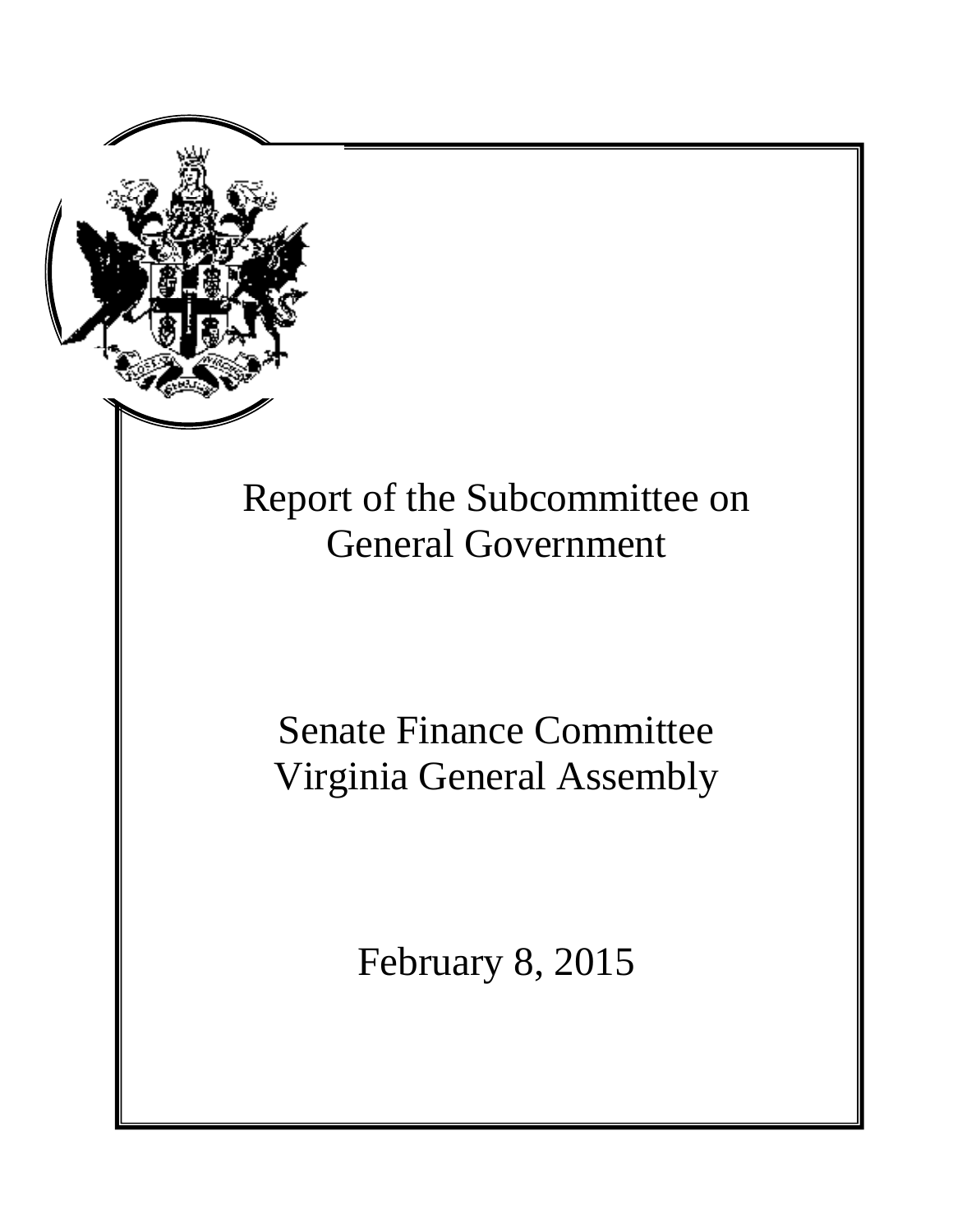

# **General Government** Report of the Subcommittee on

# Senate Finance Committee Virginia General Assembly

**Senate Finance Committee Staff** February 8, 2015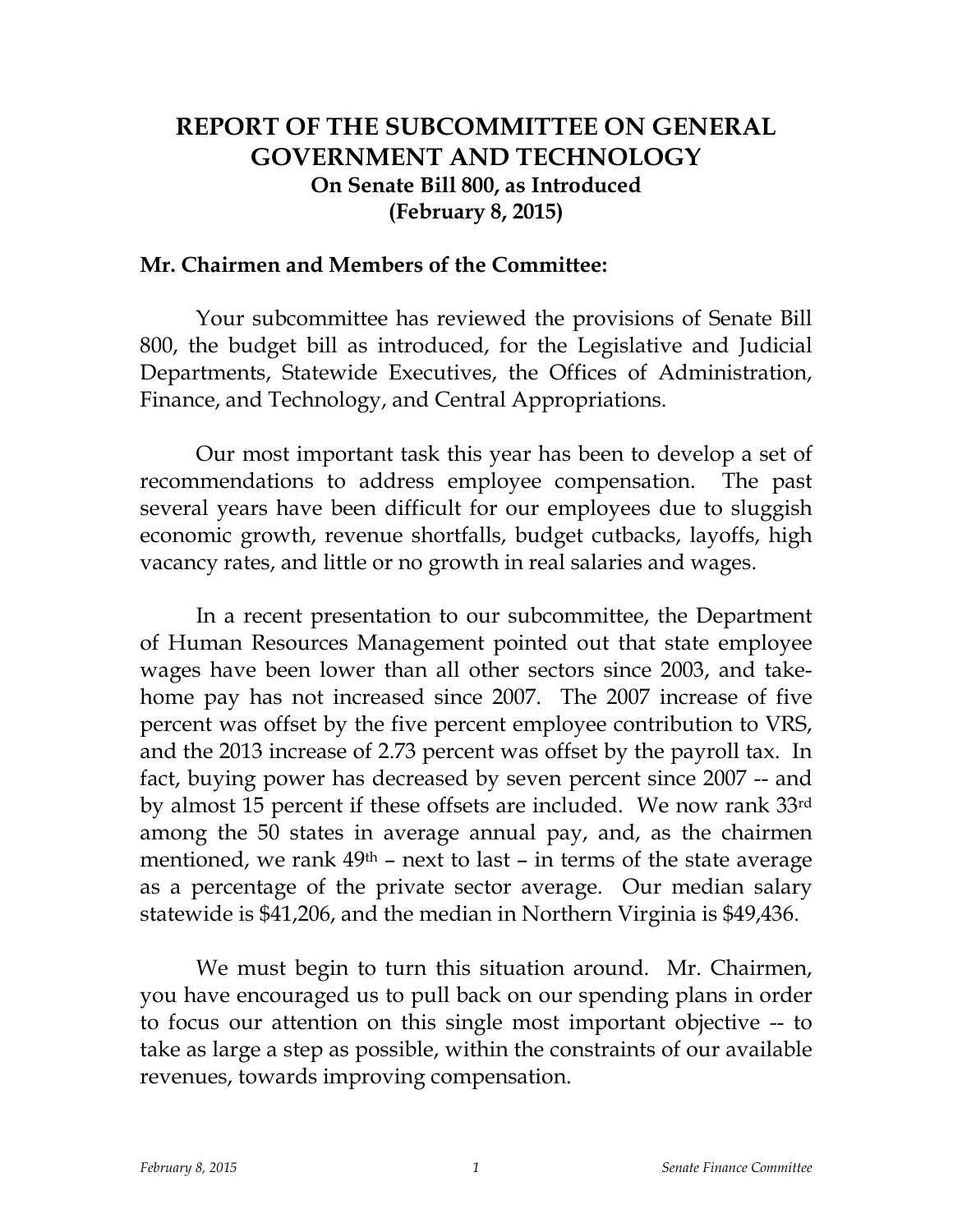# **REPORT OF THE SUBCOMMITTEE ON GENERAL GOVERNMENT AND TECHNOLOGY On Senate Bill 800, as Introduced (February 8, 2015)**

### **Mr. Chairmen and Members of the Committee:**

Your subcommittee has reviewed the provisions of Senate Bill 800, the budget bill as introduced, for the Legislative and Judicial Departments, Statewide Executives, the Offices of Administration, Finance, and Technology, and Central Appropriations.

Our most important task this year has been to develop a set of recommendations to address employee compensation. The past several years have been difficult for our employees due to sluggish economic growth, revenue shortfalls, budget cutbacks, layoffs, high vacancy rates, and little or no growth in real salaries and wages.

In a recent presentation to our subcommittee, the Department of Human Resources Management pointed out that state employee wages have been lower than all other sectors since 2003, and takehome pay has not increased since 2007. The 2007 increase of five percent was offset by the five percent employee contribution to VRS, and the 2013 increase of 2.73 percent was offset by the payroll tax. In fact, buying power has decreased by seven percent since 2007 -- and by almost 15 percent if these offsets are included. We now rank 33rd among the 50 states in average annual pay, and, as the chairmen mentioned, we rank  $49<sup>th</sup>$  – next to last – in terms of the state average as a percentage of the private sector average. Our median salary statewide is \$41,206, and the median in Northern Virginia is \$49,436.

We must begin to turn this situation around. Mr. Chairmen, you have encouraged us to pull back on our spending plans in order to focus our attention on this single most important objective -- to take as large a step as possible, within the constraints of our available revenues, towards improving compensation.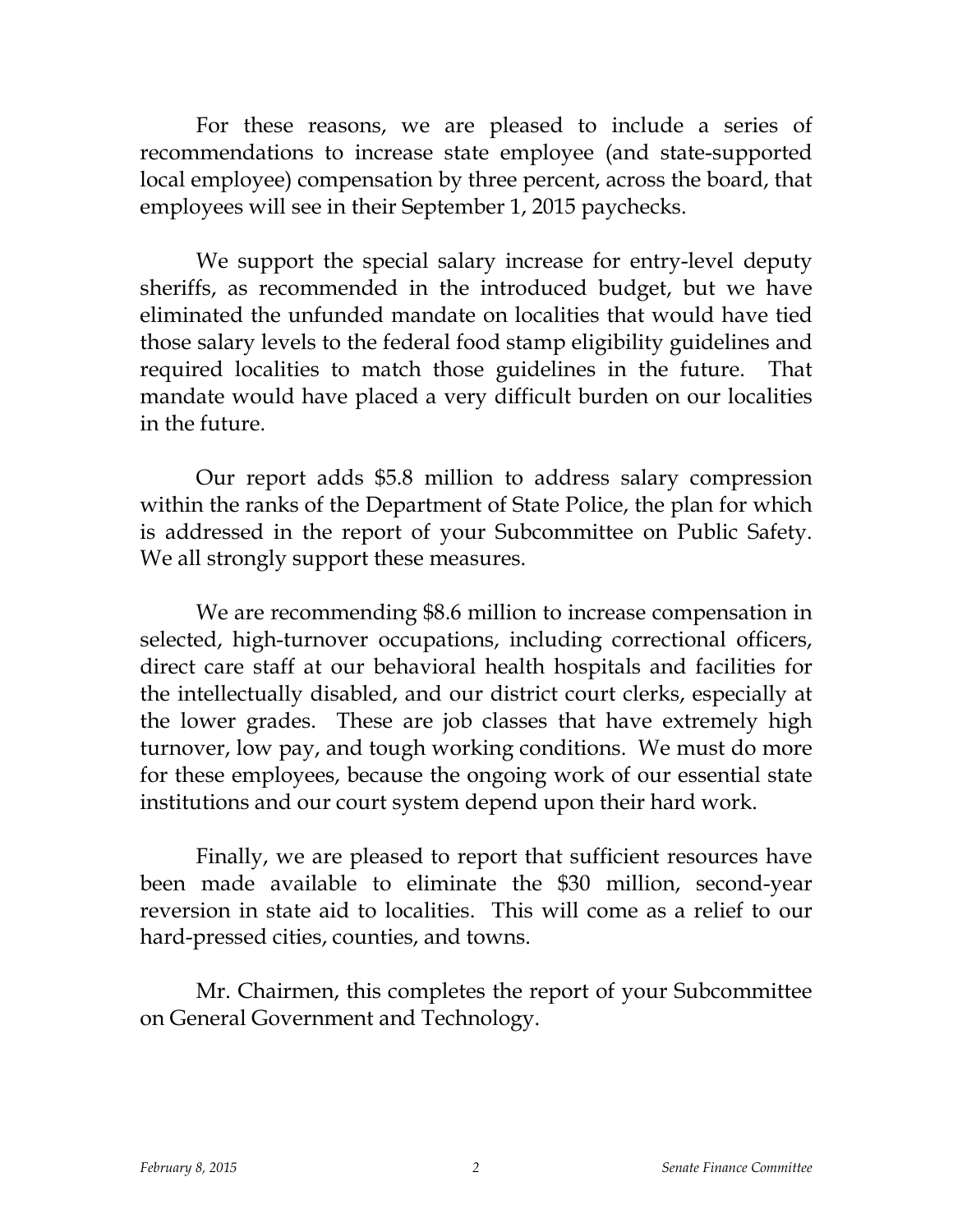For these reasons, we are pleased to include a series of recommendations to increase state employee (and state-supported local employee) compensation by three percent, across the board, that employees will see in their September 1, 2015 paychecks.

We support the special salary increase for entry-level deputy sheriffs, as recommended in the introduced budget, but we have eliminated the unfunded mandate on localities that would have tied those salary levels to the federal food stamp eligibility guidelines and required localities to match those guidelines in the future. That mandate would have placed a very difficult burden on our localities in the future.

Our report adds \$5.8 million to address salary compression within the ranks of the Department of State Police, the plan for which is addressed in the report of your Subcommittee on Public Safety. We all strongly support these measures.

We are recommending \$8.6 million to increase compensation in selected, high-turnover occupations, including correctional officers, direct care staff at our behavioral health hospitals and facilities for the intellectually disabled, and our district court clerks, especially at the lower grades. These are job classes that have extremely high turnover, low pay, and tough working conditions. We must do more for these employees, because the ongoing work of our essential state institutions and our court system depend upon their hard work.

Finally, we are pleased to report that sufficient resources have been made available to eliminate the \$30 million, second-year reversion in state aid to localities. This will come as a relief to our hard-pressed cities, counties, and towns.

Mr. Chairmen, this completes the report of your Subcommittee on General Government and Technology.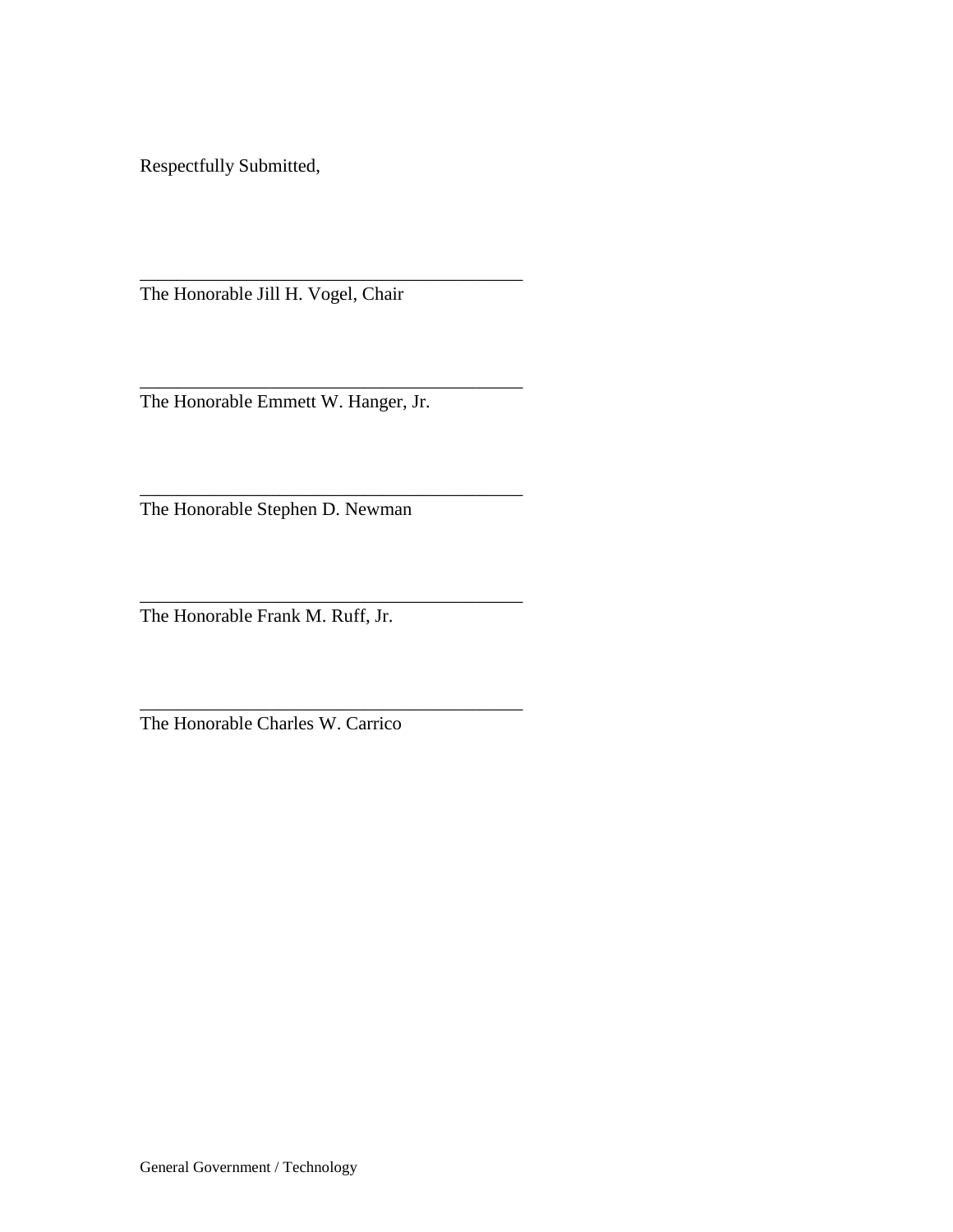Respectfully Submitted,

The Honorable Jill H. Vogel, Chair

\_\_\_\_\_\_\_\_\_\_\_\_\_\_\_\_\_\_\_\_\_\_\_\_\_\_\_\_\_\_\_\_\_\_\_\_\_\_\_\_\_

\_\_\_\_\_\_\_\_\_\_\_\_\_\_\_\_\_\_\_\_\_\_\_\_\_\_\_\_\_\_\_\_\_\_\_\_\_\_\_\_\_

\_\_\_\_\_\_\_\_\_\_\_\_\_\_\_\_\_\_\_\_\_\_\_\_\_\_\_\_\_\_\_\_\_\_\_\_\_\_\_\_\_

\_\_\_\_\_\_\_\_\_\_\_\_\_\_\_\_\_\_\_\_\_\_\_\_\_\_\_\_\_\_\_\_\_\_\_\_\_\_\_\_\_

\_\_\_\_\_\_\_\_\_\_\_\_\_\_\_\_\_\_\_\_\_\_\_\_\_\_\_\_\_\_\_\_\_\_\_\_\_\_\_\_\_ The Honorable Emmett W. Hanger, Jr.

The Honorable Stephen D. Newman

The Honorable Frank M. Ruff, Jr.

The Honorable Charles W. Carrico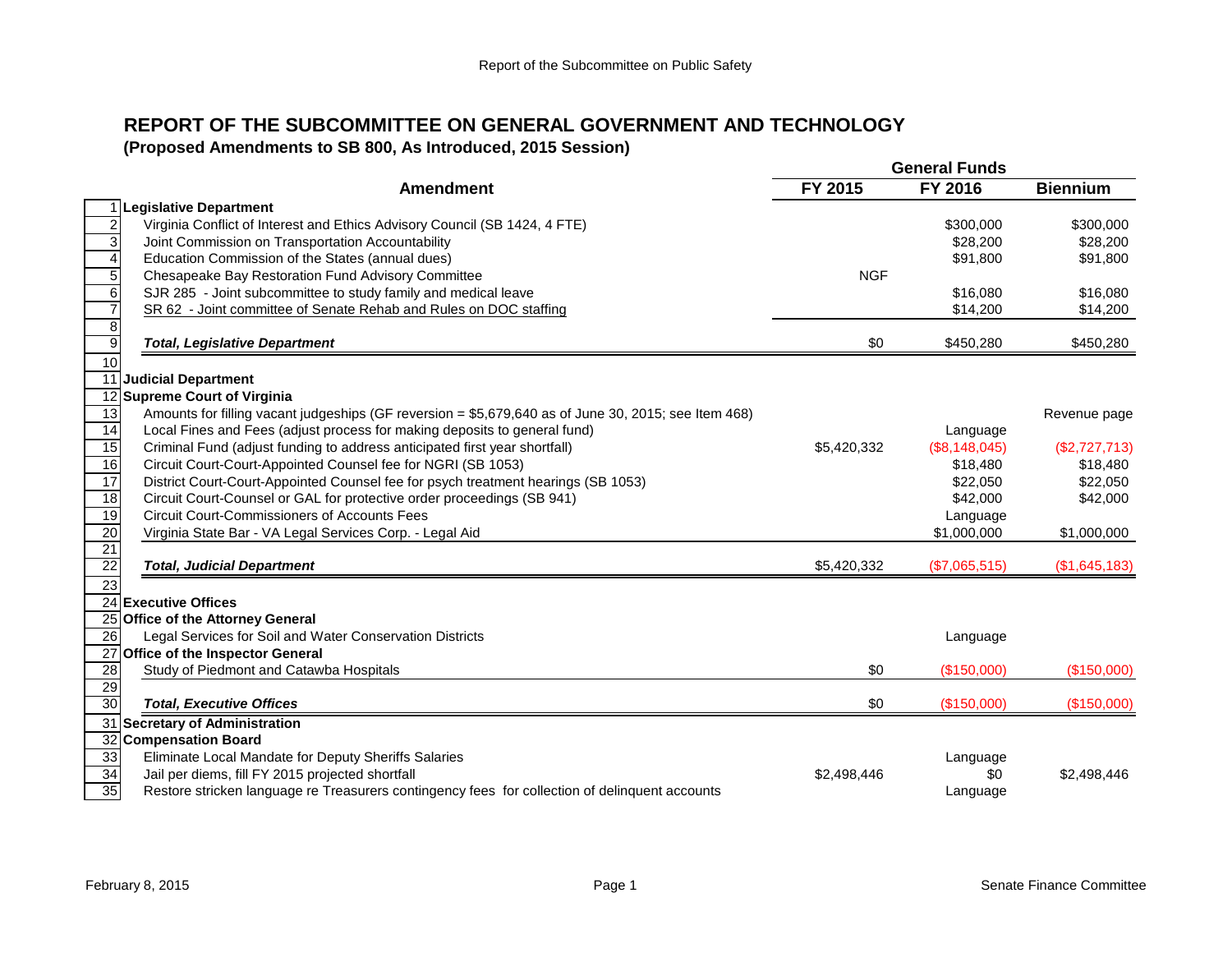# **REPORT OF THE SUBCOMMITTEE ON GENERAL GOVERNMENT AND TECHNOLOGY**

**(Proposed Amendments to SB 800, As Introduced, 2015 Session)**

|                 |                                                                                                      |             | <b>General Funds</b> |                 |
|-----------------|------------------------------------------------------------------------------------------------------|-------------|----------------------|-----------------|
|                 | <b>Amendment</b>                                                                                     | FY 2015     | FY 2016              | <b>Biennium</b> |
|                 | 1 Legislative Department                                                                             |             |                      |                 |
| $\overline{2}$  | Virginia Conflict of Interest and Ethics Advisory Council (SB 1424, 4 FTE)                           |             | \$300,000            | \$300,000       |
| 3               | Joint Commission on Transportation Accountability                                                    |             | \$28,200             | \$28,200        |
| $\overline{4}$  | Education Commission of the States (annual dues)                                                     |             | \$91,800             | \$91,800        |
| $\overline{5}$  | Chesapeake Bay Restoration Fund Advisory Committee                                                   | <b>NGF</b>  |                      |                 |
| 6               | SJR 285 - Joint subcommittee to study family and medical leave                                       |             | \$16.080             | \$16,080        |
| $\overline{7}$  | SR 62 - Joint committee of Senate Rehab and Rules on DOC staffing                                    |             | \$14,200             | \$14,200        |
| $\overline{8}$  |                                                                                                      |             |                      |                 |
| $\overline{9}$  | <b>Total, Legislative Department</b>                                                                 | \$0         | \$450,280            | \$450,280       |
| 10              |                                                                                                      |             |                      |                 |
|                 | 11 Judicial Department                                                                               |             |                      |                 |
|                 | 12 Supreme Court of Virginia                                                                         |             |                      |                 |
| 13              | Amounts for filling vacant judgeships (GF reversion = \$5,679,640 as of June 30, 2015; see Item 468) |             |                      | Revenue page    |
| 14              | Local Fines and Fees (adjust process for making deposits to general fund)                            |             | Language             |                 |
| 15              | Criminal Fund (adjust funding to address anticipated first year shortfall)                           | \$5,420,332 | (\$8,148,045)        | (\$2,727,713)   |
| 16              | Circuit Court-Court-Appointed Counsel fee for NGRI (SB 1053)                                         |             | \$18,480             | \$18,480        |
| 17              | District Court-Court-Appointed Counsel fee for psych treatment hearings (SB 1053)                    |             | \$22,050             | \$22,050        |
| 18              | Circuit Court-Counsel or GAL for protective order proceedings (SB 941)                               |             | \$42,000             | \$42,000        |
| 19              | <b>Circuit Court-Commissioners of Accounts Fees</b>                                                  |             | Language             |                 |
| 20              | Virginia State Bar - VA Legal Services Corp. - Legal Aid                                             |             | \$1,000,000          | \$1,000,000     |
| 21<br>22        | <b>Total, Judicial Department</b>                                                                    | \$5,420,332 | (\$7,065,515)        | (\$1,645,183)   |
| $\overline{23}$ |                                                                                                      |             |                      |                 |
|                 | 24 Executive Offices                                                                                 |             |                      |                 |
|                 | 25 Office of the Attorney General                                                                    |             |                      |                 |
| 26              | Legal Services for Soil and Water Conservation Districts                                             |             | Language             |                 |
|                 | 27 Office of the Inspector General                                                                   |             |                      |                 |
| $\overline{28}$ | Study of Piedmont and Catawba Hospitals                                                              | \$0         | (\$150,000)          | (\$150,000)     |
| 29              |                                                                                                      |             |                      |                 |
| 30              | <b>Total, Executive Offices</b>                                                                      | \$0         | (\$150,000)          | (\$150,000)     |
|                 | 31 Secretary of Administration                                                                       |             |                      |                 |
|                 | 32 Compensation Board                                                                                |             |                      |                 |
| 33              | Eliminate Local Mandate for Deputy Sheriffs Salaries                                                 |             | Language             |                 |
| 34              | Jail per diems, fill FY 2015 projected shortfall                                                     | \$2,498,446 | \$0                  | \$2,498,446     |
| 35              | Restore stricken language re Treasurers contingency fees for collection of delinquent accounts       |             | Language             |                 |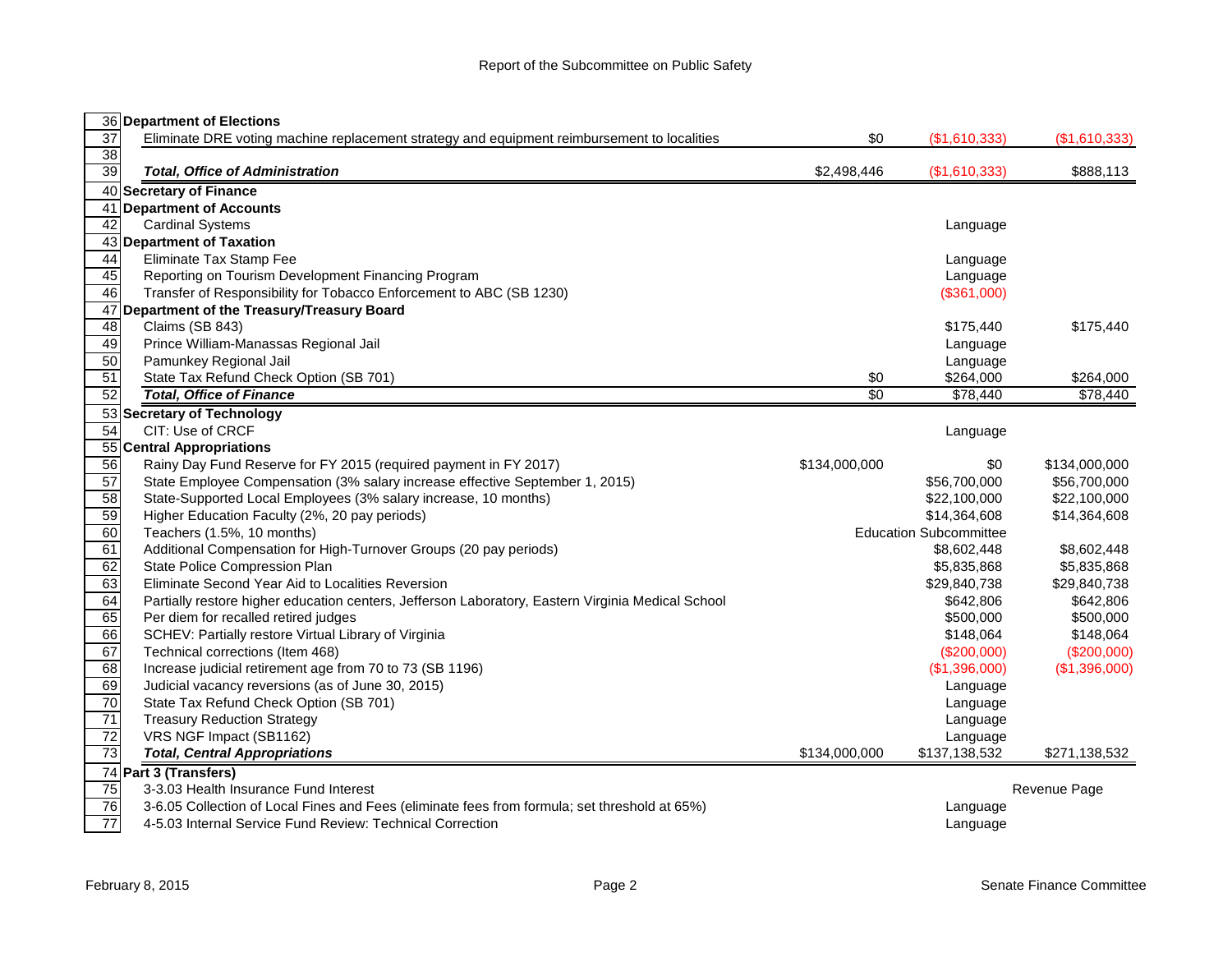|                 | 36 Department of Elections                                                                        |               |                               |               |
|-----------------|---------------------------------------------------------------------------------------------------|---------------|-------------------------------|---------------|
| $\overline{37}$ | Eliminate DRE voting machine replacement strategy and equipment reimbursement to localities       | \$0           | (\$1,610,333)                 | (\$1,610,333) |
| 38              |                                                                                                   |               |                               |               |
| 39              | <b>Total, Office of Administration</b>                                                            | \$2,498,446   | (\$1,610,333)                 | \$888,113     |
|                 | 40 Secretary of Finance                                                                           |               |                               |               |
|                 | 41 Department of Accounts                                                                         |               |                               |               |
| 42              | <b>Cardinal Systems</b>                                                                           |               | Language                      |               |
|                 | 43 Department of Taxation                                                                         |               |                               |               |
| 44              | Eliminate Tax Stamp Fee                                                                           |               | Language                      |               |
| 45              | Reporting on Tourism Development Financing Program                                                |               | Language                      |               |
| 46              | Transfer of Responsibility for Tobacco Enforcement to ABC (SB 1230)                               |               | (\$361,000)                   |               |
|                 | 47 Department of the Treasury/Treasury Board                                                      |               |                               |               |
| 48              | Claims (SB 843)                                                                                   |               | \$175,440                     | \$175,440     |
| 49              | Prince William-Manassas Regional Jail                                                             |               | Language                      |               |
| 50              | Pamunkey Regional Jail                                                                            |               | Language                      |               |
| 51              | State Tax Refund Check Option (SB 701)                                                            | \$0           | \$264,000                     | \$264,000     |
| 52              | <b>Total, Office of Finance</b>                                                                   | \$0           | \$78,440                      | \$78,440      |
|                 | 53 Secretary of Technology                                                                        |               |                               |               |
| 54              | CIT: Use of CRCF                                                                                  |               | Language                      |               |
|                 | 55 Central Appropriations                                                                         |               |                               |               |
| 56              | Rainy Day Fund Reserve for FY 2015 (required payment in FY 2017)                                  | \$134,000,000 | \$0                           | \$134,000,000 |
| 57              | State Employee Compensation (3% salary increase effective September 1, 2015)                      |               | \$56,700,000                  | \$56,700,000  |
| 58              | State-Supported Local Employees (3% salary increase, 10 months)                                   |               | \$22,100,000                  | \$22,100,000  |
| 59              | Higher Education Faculty (2%, 20 pay periods)                                                     |               | \$14,364,608                  | \$14,364,608  |
| 60              | Teachers (1.5%, 10 months)                                                                        |               | <b>Education Subcommittee</b> |               |
| 61              | Additional Compensation for High-Turnover Groups (20 pay periods)                                 |               | \$8,602,448                   | \$8,602,448   |
| 62              | State Police Compression Plan                                                                     |               | \$5,835,868                   | \$5,835,868   |
| 63              | Eliminate Second Year Aid to Localities Reversion                                                 |               | \$29,840,738                  | \$29,840,738  |
| 64              | Partially restore higher education centers, Jefferson Laboratory, Eastern Virginia Medical School |               | \$642,806                     | \$642,806     |
| 65              | Per diem for recalled retired judges                                                              |               | \$500,000                     | \$500,000     |
| 66              | SCHEV: Partially restore Virtual Library of Virginia                                              |               | \$148,064                     | \$148,064     |
| 67              | Technical corrections (Item 468)                                                                  |               | (\$200,000)                   | (\$200,000)   |
| 68              | Increase judicial retirement age from 70 to 73 (SB 1196)                                          |               | (\$1,396,000)                 | (\$1,396,000) |
| 69              | Judicial vacancy reversions (as of June 30, 2015)                                                 |               | Language                      |               |
| 70              | State Tax Refund Check Option (SB 701)                                                            |               | Language                      |               |
| $\overline{71}$ | <b>Treasury Reduction Strategy</b>                                                                |               | Language                      |               |
| $\overline{72}$ | VRS NGF Impact (SB1162)                                                                           |               | Language                      |               |
| 73              | <b>Total, Central Appropriations</b>                                                              | \$134,000,000 | \$137,138,532                 | \$271,138,532 |
|                 | 74 Part 3 (Transfers)                                                                             |               |                               |               |
| $\overline{75}$ | 3-3.03 Health Insurance Fund Interest                                                             |               |                               | Revenue Page  |
| 76              | 3-6.05 Collection of Local Fines and Fees (eliminate fees from formula; set threshold at 65%)     |               | Language                      |               |
| 77              | 4-5.03 Internal Service Fund Review: Technical Correction                                         |               | Language                      |               |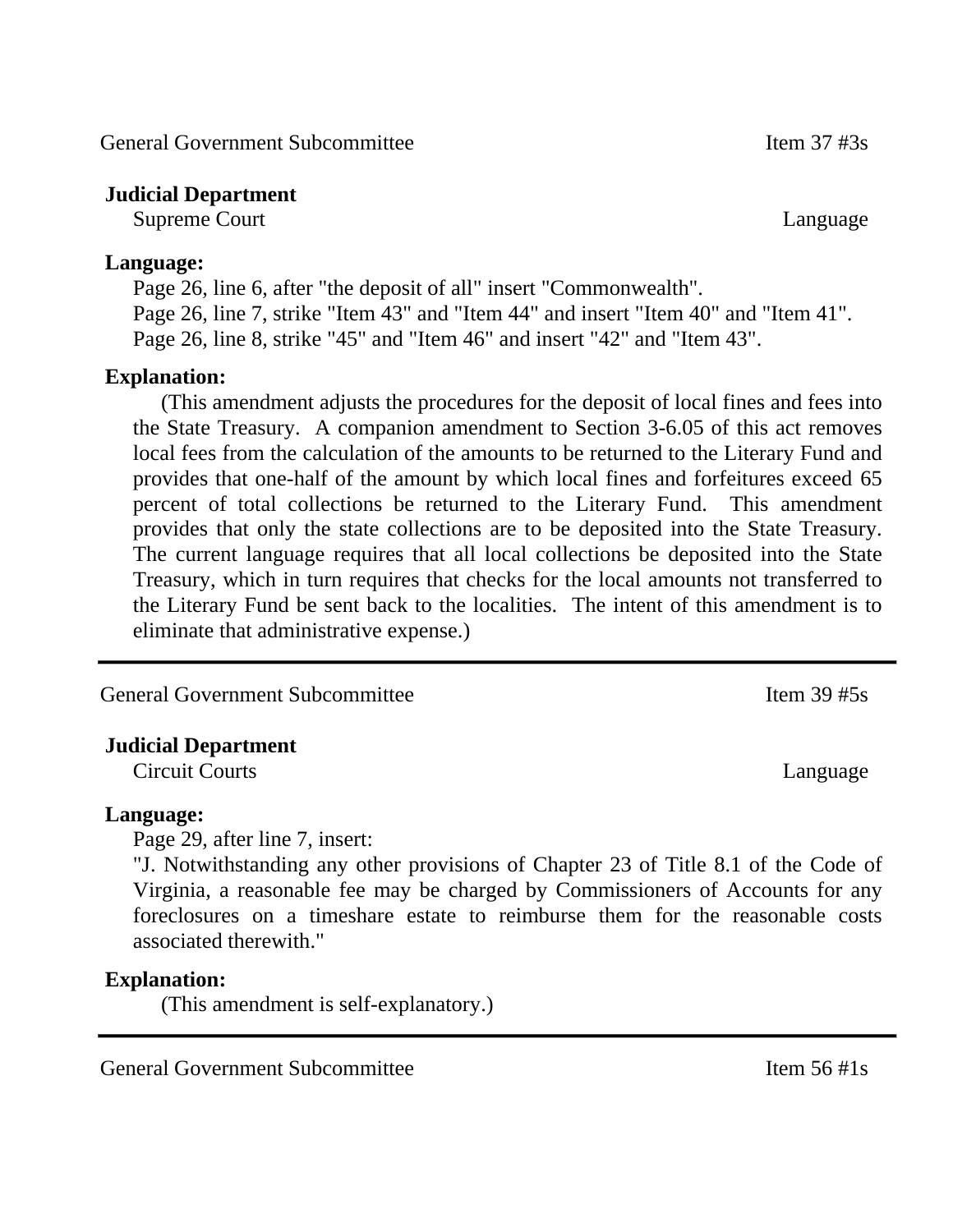General Government Subcommittee Item 37 #3s

## **Judicial Department**

Supreme Court Language

#### **Language:**

Page 26, line 6, after "the deposit of all" insert "Commonwealth". Page 26, line 7, strike "Item 43" and "Item 44" and insert "Item 40" and "Item 41". Page 26, line 8, strike "45" and "Item 46" and insert "42" and "Item 43".

### **Explanation:**

(This amendment adjusts the procedures for the deposit of local fines and fees into the State Treasury. A companion amendment to Section 3-6.05 of this act removes local fees from the calculation of the amounts to be returned to the Literary Fund and provides that one-half of the amount by which local fines and forfeitures exceed 65 percent of total collections be returned to the Literary Fund. This amendment provides that only the state collections are to be deposited into the State Treasury. The current language requires that all local collections be deposited into the State Treasury, which in turn requires that checks for the local amounts not transferred to the Literary Fund be sent back to the localities. The intent of this amendment is to eliminate that administrative expense.)

General Government Subcommittee Item 39 #5s

# **Judicial Department**

Circuit Courts Language

#### **Language:**

Page 29, after line 7, insert:

"J. Notwithstanding any other provisions of Chapter 23 of Title 8.1 of the Code of Virginia, a reasonable fee may be charged by Commissioners of Accounts for any foreclosures on a timeshare estate to reimburse them for the reasonable costs associated therewith."

#### **Explanation:**

(This amendment is self-explanatory.)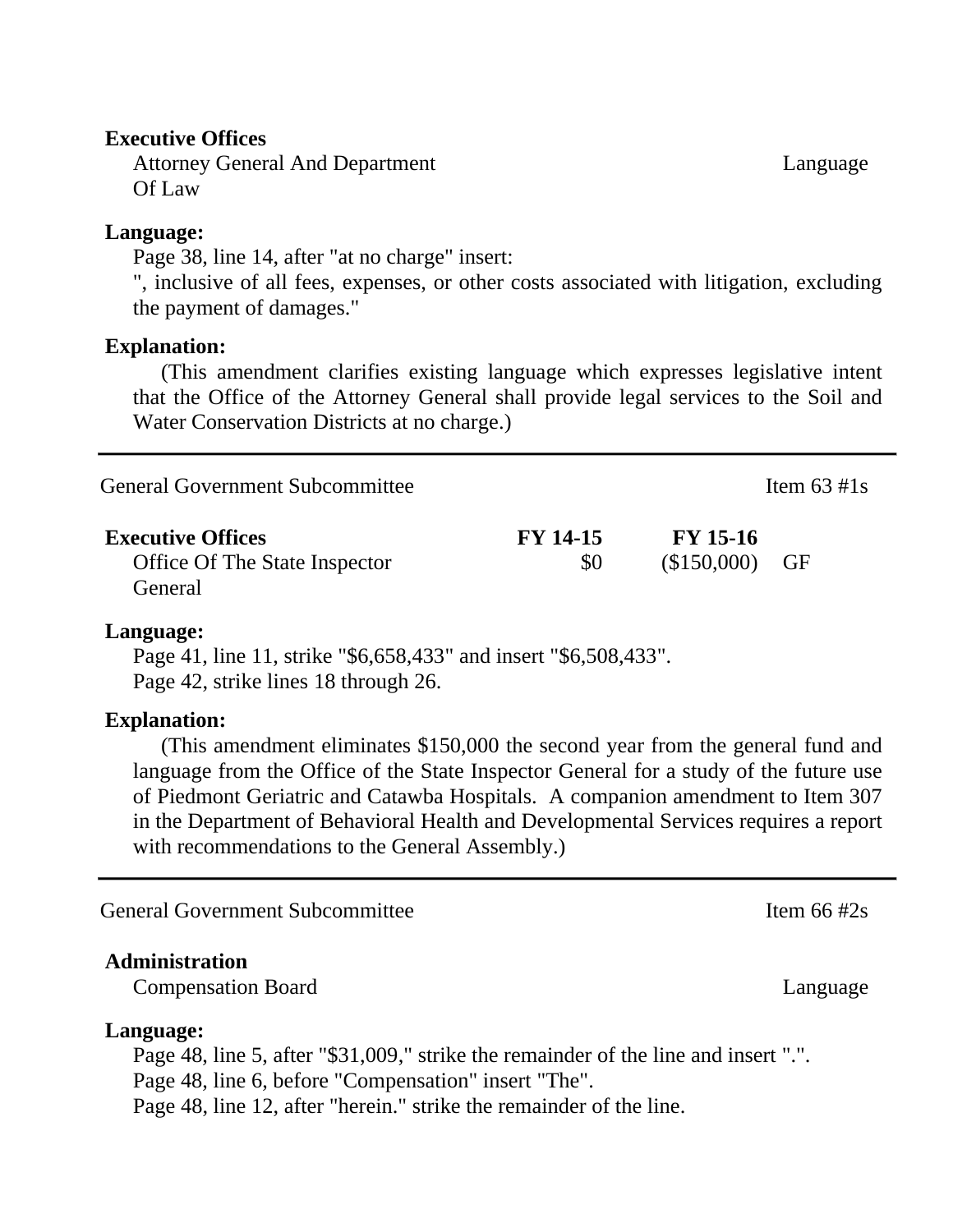#### **Executive Offices**

Attorney General And Department Of Law

#### **Language:**

Page 38, line 14, after "at no charge" insert:

", inclusive of all fees, expenses, or other costs associated with litigation, excluding the payment of damages."

#### **Explanation:**

(This amendment clarifies existing language which expresses legislative intent that the Office of the Attorney General shall provide legal services to the Soil and Water Conservation Districts at no charge.)

| General Government Subcommittee                                             |                        |                               | Item $63 \text{ #1s}$ |  |
|-----------------------------------------------------------------------------|------------------------|-------------------------------|-----------------------|--|
| <b>Executive Offices</b><br><b>Office Of The State Inspector</b><br>General | <b>FY 14-15</b><br>\$0 | $FY$ 15-16<br>$($150,000)$ GF |                       |  |

#### **Language:**

Page 41, line 11, strike "\$6,658,433" and insert "\$6,508,433". Page 42, strike lines 18 through 26.

#### **Explanation:**

(This amendment eliminates \$150,000 the second year from the general fund and language from the Office of the State Inspector General for a study of the future use of Piedmont Geriatric and Catawba Hospitals. A companion amendment to Item 307 in the Department of Behavioral Health and Developmental Services requires a report with recommendations to the General Assembly.)

General Government Subcommittee Item 66 #2s

#### **Administration**

Compensation Board Language Language

#### **Language:**

Page 48, line 5, after "\$31,009," strike the remainder of the line and insert ".". Page 48, line 6, before "Compensation" insert "The". Page 48, line 12, after "herein." strike the remainder of the line.

Language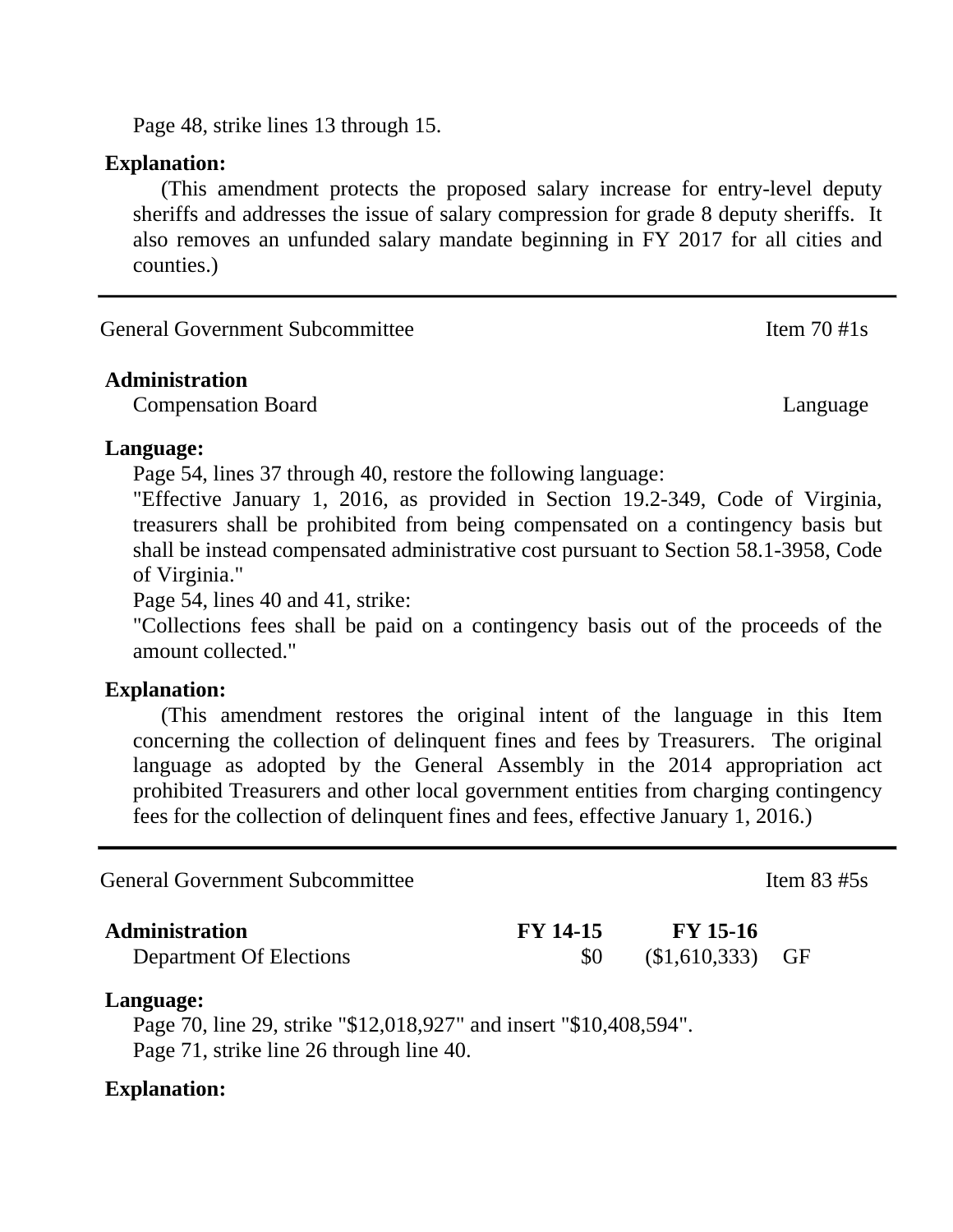Page 48, strike lines 13 through 15.

#### **Explanation:**

(This amendment protects the proposed salary increase for entry-level deputy sheriffs and addresses the issue of salary compression for grade 8 deputy sheriffs. It also removes an unfunded salary mandate beginning in FY 2017 for all cities and counties.)

| Item $70 \#1s$ |
|----------------|
|                |

#### **Administration**

Compensation Board Language

#### **Language:**

Page 54, lines 37 through 40, restore the following language:

"Effective January 1, 2016, as provided in Section 19.2-349, Code of Virginia, treasurers shall be prohibited from being compensated on a contingency basis but shall be instead compensated administrative cost pursuant to Section 58.1-3958, Code of Virginia."

Page 54, lines 40 and 41, strike:

"Collections fees shall be paid on a contingency basis out of the proceeds of the amount collected."

#### **Explanation:**

(This amendment restores the original intent of the language in this Item concerning the collection of delinquent fines and fees by Treasurers. The original language as adopted by the General Assembly in the 2014 appropriation act prohibited Treasurers and other local government entities from charging contingency fees for the collection of delinquent fines and fees, effective January 1, 2016.)

| <b>General Government Subcommittee</b>                                                                                      |                        |                                | Item $83 \#5s$ |  |
|-----------------------------------------------------------------------------------------------------------------------------|------------------------|--------------------------------|----------------|--|
| <b>Administration</b><br>Department Of Elections                                                                            | <b>FY 14-15</b><br>\$0 | <b>FY</b> 15-16<br>\$1,610,333 | GF             |  |
| Language:<br>Page 70, line 29, strike "\$12,018,927" and insert "\$10,408,594".<br>Page 71, strike line 26 through line 40. |                        |                                |                |  |
|                                                                                                                             |                        |                                |                |  |

#### **Explanation:**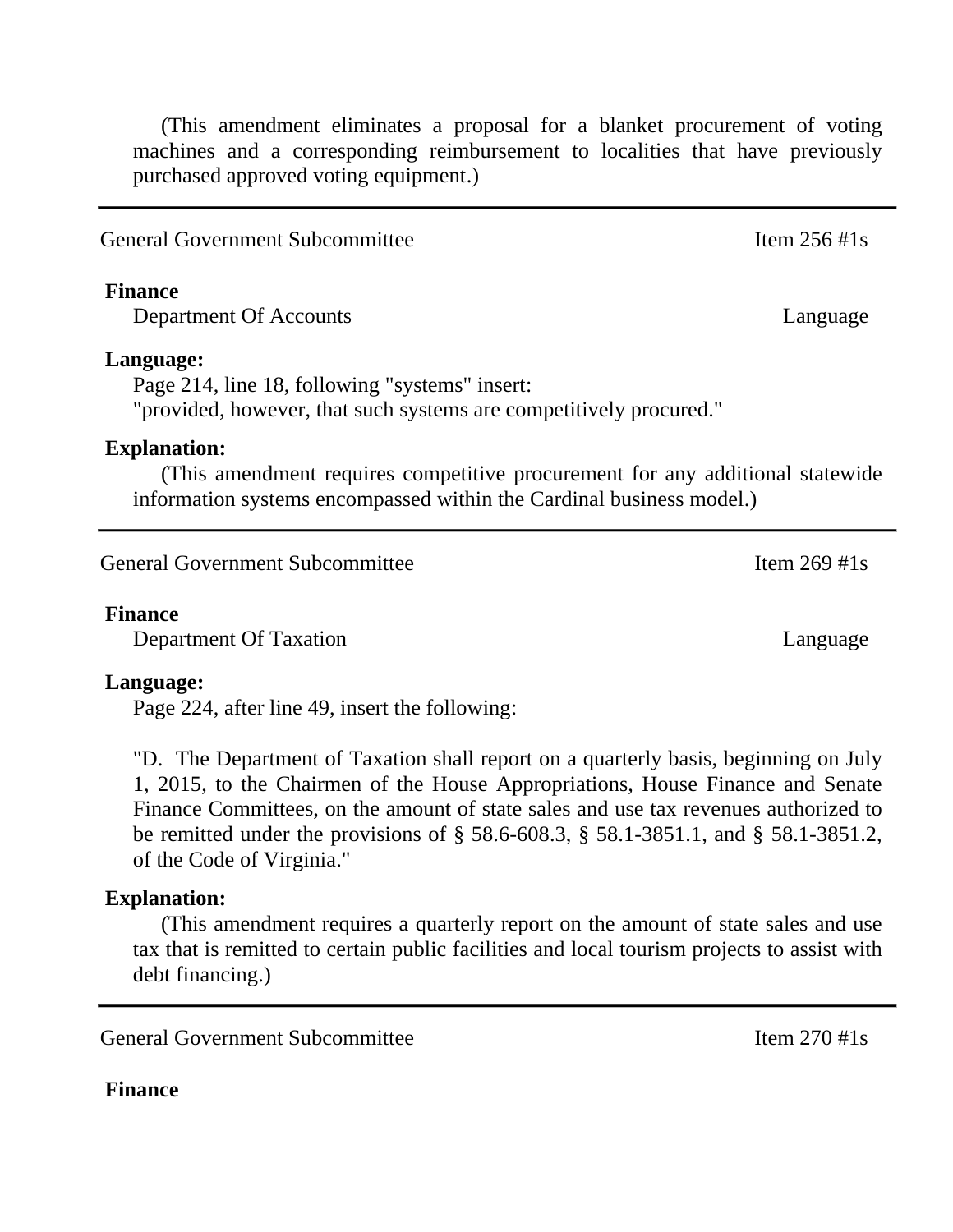(This amendment eliminates a proposal for a blanket procurement of voting machines and a corresponding reimbursement to localities that have previously purchased approved voting equipment.)

General Government Subcommittee Item 256 #1s

#### **Finance**

Department Of Accounts Language

#### **Language:**

Page 214, line 18, following "systems" insert: "provided, however, that such systems are competitively procured."

#### **Explanation:**

(This amendment requires competitive procurement for any additional statewide information systems encompassed within the Cardinal business model.)

General Government Subcommittee Item 269 #1s

#### **Finance**

Department Of Taxation Language

#### **Language:**

Page 224, after line 49, insert the following:

"D. The Department of Taxation shall report on a quarterly basis, beginning on July 1, 2015, to the Chairmen of the House Appropriations, House Finance and Senate Finance Committees, on the amount of state sales and use tax revenues authorized to be remitted under the provisions of § 58.6-608.3, § 58.1-3851.1, and § 58.1-3851.2, of the Code of Virginia."

#### **Explanation:**

(This amendment requires a quarterly report on the amount of state sales and use tax that is remitted to certain public facilities and local tourism projects to assist with debt financing.)

General Government Subcommittee Item 270 #1s

#### **Finance**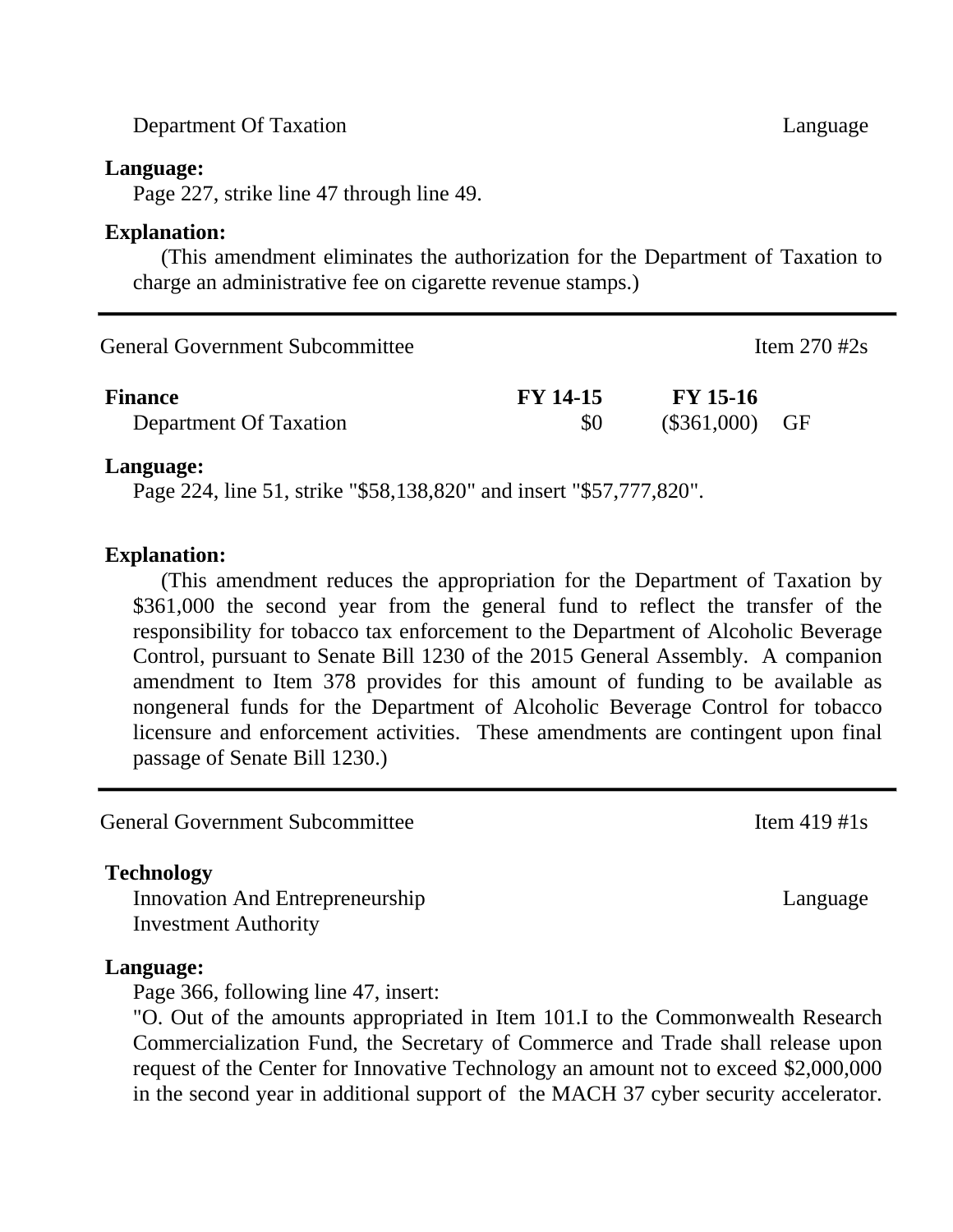Department Of Taxation Language

#### **Language:**

Page 227, strike line 47 through line 49.

#### **Explanation:**

(This amendment eliminates the authorization for the Department of Taxation to charge an administrative fee on cigarette revenue stamps.)

| General Government Subcommittee          |                        |                              | Item $270 \text{ #2s}$ |  |
|------------------------------------------|------------------------|------------------------------|------------------------|--|
| <b>Finance</b><br>Department Of Taxation | <b>FY 14-15</b><br>SO. | FY 15-16<br>$(\$361,000)$ GF |                        |  |

#### **Language:**

Page 224, line 51, strike "\$58,138,820" and insert "\$57,777,820".

#### **Explanation:**

(This amendment reduces the appropriation for the Department of Taxation by \$361,000 the second year from the general fund to reflect the transfer of the responsibility for tobacco tax enforcement to the Department of Alcoholic Beverage Control, pursuant to Senate Bill 1230 of the 2015 General Assembly. A companion amendment to Item 378 provides for this amount of funding to be available as nongeneral funds for the Department of Alcoholic Beverage Control for tobacco licensure and enforcement activities. These amendments are contingent upon final passage of Senate Bill 1230.)

General Government Subcommittee Item 419 #1s

#### **Technology**

Innovation And Entrepreneurship Investment Authority

#### **Language:**

Page 366, following line 47, insert:

"O. Out of the amounts appropriated in Item 101.I to the Commonwealth Research Commercialization Fund, the Secretary of Commerce and Trade shall release upon request of the Center for Innovative Technology an amount not to exceed \$2,000,000 in the second year in additional support of the MACH 37 cyber security accelerator.

Language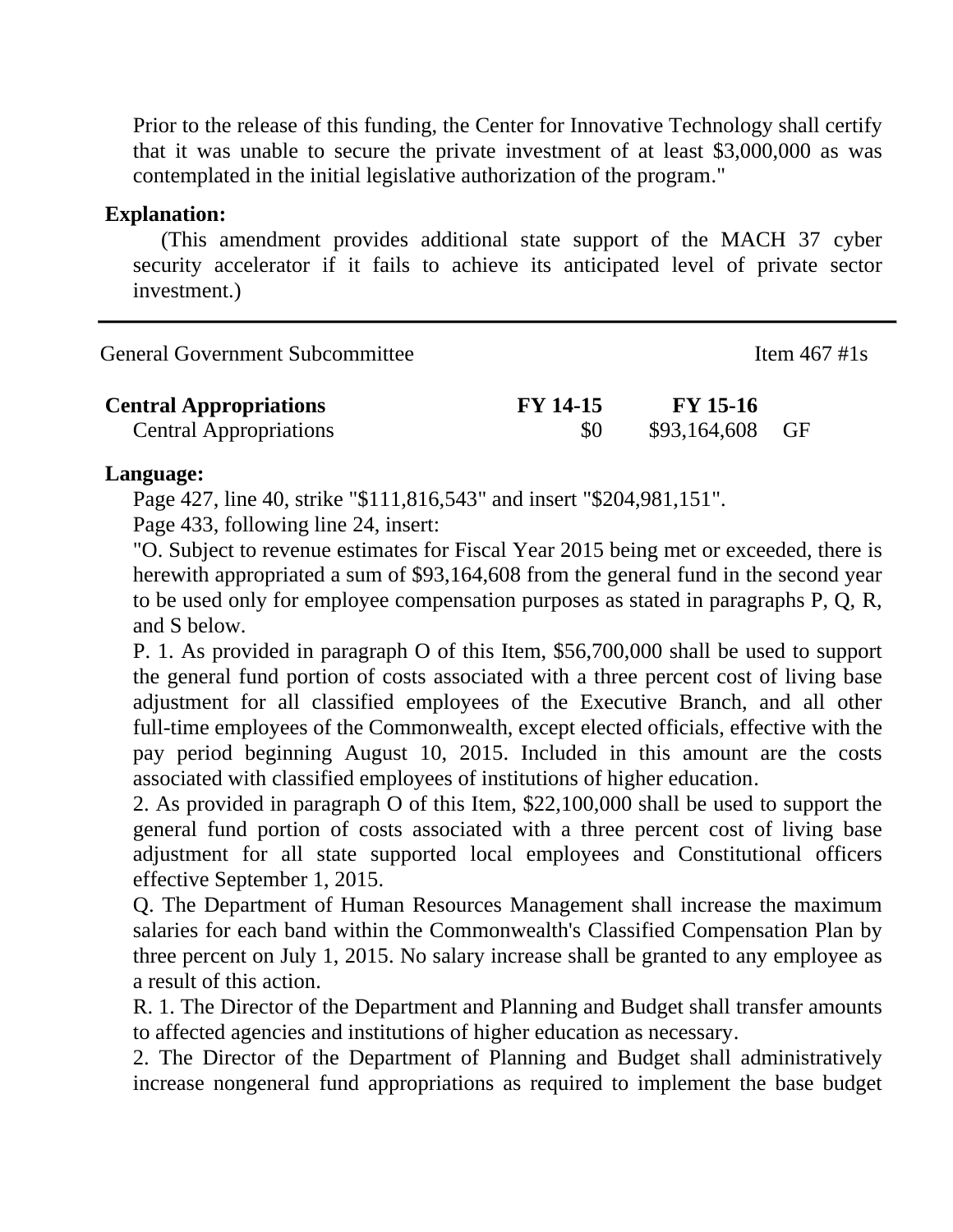Prior to the release of this funding, the Center for Innovative Technology shall certify that it was unable to secure the private investment of at least \$3,000,000 as was contemplated in the initial legislative authorization of the program."

#### **Explanation:**

(This amendment provides additional state support of the MACH 37 cyber security accelerator if it fails to achieve its anticipated level of private sector investment.)

| <b>General Government Subcommittee</b> | Item $467 \text{ #1s}$ |
|----------------------------------------|------------------------|
|                                        |                        |

| <b>Central Appropriations</b> | <b>FY 14-15</b> | <b>FY</b> 15-16 |  |
|-------------------------------|-----------------|-----------------|--|
| <b>Central Appropriations</b> |                 | \$93,164,608 GF |  |

# **Language:**

Page 427, line 40, strike "\$111,816,543" and insert "\$204,981,151".

Page 433, following line 24, insert:

"O. Subject to revenue estimates for Fiscal Year 2015 being met or exceeded, there is herewith appropriated a sum of \$93,164,608 from the general fund in the second year to be used only for employee compensation purposes as stated in paragraphs P, Q, R, and S below.

P. 1. As provided in paragraph O of this Item, \$56,700,000 shall be used to support the general fund portion of costs associated with a three percent cost of living base adjustment for all classified employees of the Executive Branch, and all other full-time employees of the Commonwealth, except elected officials, effective with the pay period beginning August 10, 2015. Included in this amount are the costs associated with classified employees of institutions of higher education.

2. As provided in paragraph O of this Item, \$22,100,000 shall be used to support the general fund portion of costs associated with a three percent cost of living base adjustment for all state supported local employees and Constitutional officers effective September 1, 2015.

Q. The Department of Human Resources Management shall increase the maximum salaries for each band within the Commonwealth's Classified Compensation Plan by three percent on July 1, 2015. No salary increase shall be granted to any employee as a result of this action.

R. 1. The Director of the Department and Planning and Budget shall transfer amounts to affected agencies and institutions of higher education as necessary.

2. The Director of the Department of Planning and Budget shall administratively increase nongeneral fund appropriations as required to implement the base budget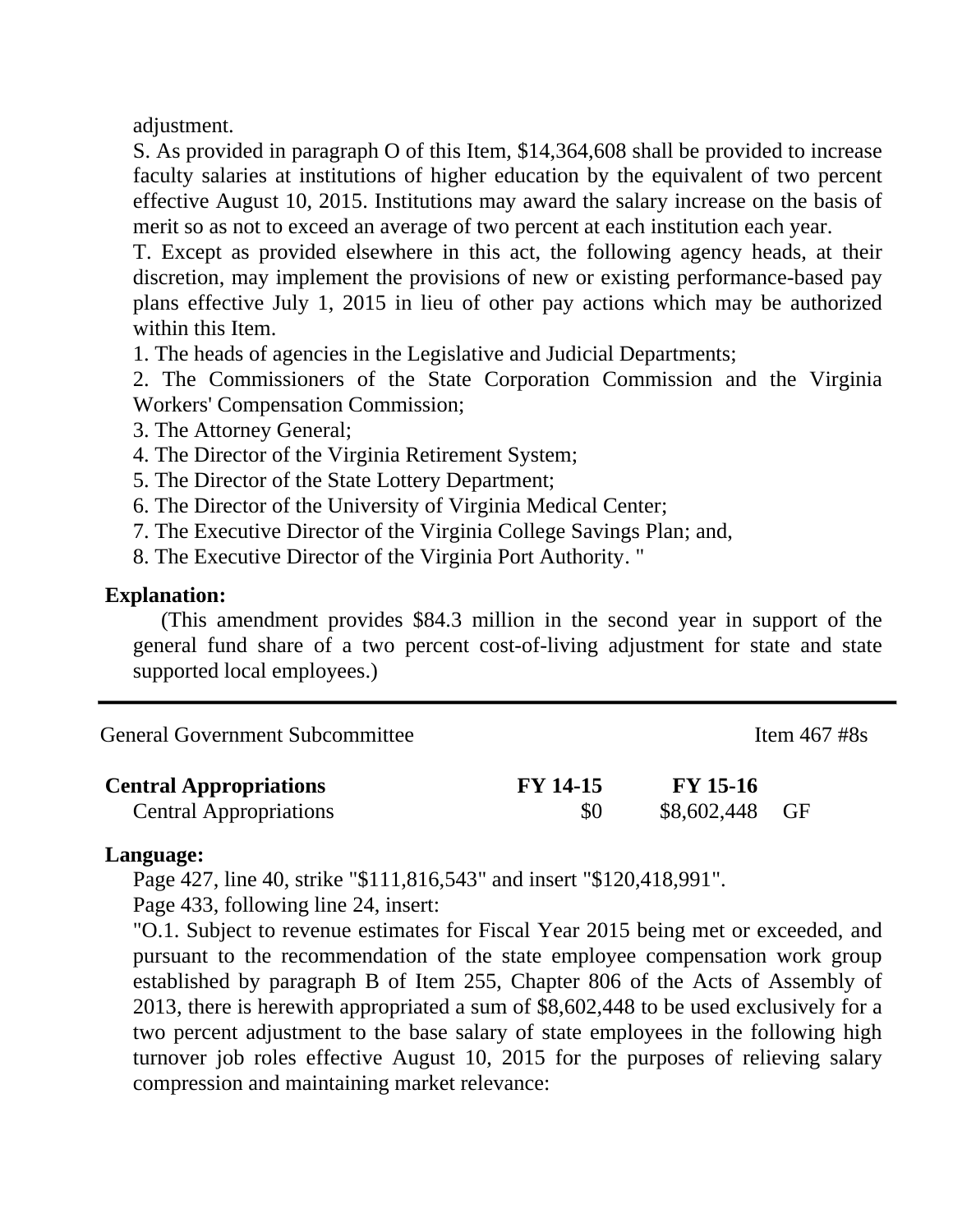adjustment.

S. As provided in paragraph O of this Item, \$14,364,608 shall be provided to increase faculty salaries at institutions of higher education by the equivalent of two percent effective August 10, 2015. Institutions may award the salary increase on the basis of merit so as not to exceed an average of two percent at each institution each year.

T. Except as provided elsewhere in this act, the following agency heads, at their discretion, may implement the provisions of new or existing performance-based pay plans effective July 1, 2015 in lieu of other pay actions which may be authorized within this Item.

1. The heads of agencies in the Legislative and Judicial Departments;

2. The Commissioners of the State Corporation Commission and the Virginia Workers' Compensation Commission;

- 3. The Attorney General;
- 4. The Director of the Virginia Retirement System;
- 5. The Director of the State Lottery Department;
- 6. The Director of the University of Virginia Medical Center;
- 7. The Executive Director of the Virginia College Savings Plan; and,
- 8. The Executive Director of the Virginia Port Authority. "

# **Explanation:**

(This amendment provides \$84.3 million in the second year in support of the general fund share of a two percent cost-of-living adjustment for state and state supported local employees.)

| <b>General Government Subcommittee</b> | Item $467 \text{ #8s}$ |
|----------------------------------------|------------------------|
|                                        |                        |

| <b>Central Appropriations</b> | FY 14-15 | <b>FY 15-16</b> |  |
|-------------------------------|----------|-----------------|--|
| <b>Central Appropriations</b> | \$0      | \$8,602,448 GF  |  |

# **Language:**

Page 427, line 40, strike "\$111,816,543" and insert "\$120,418,991".

Page 433, following line 24, insert:

"O.1. Subject to revenue estimates for Fiscal Year 2015 being met or exceeded, and pursuant to the recommendation of the state employee compensation work group established by paragraph B of Item 255, Chapter 806 of the Acts of Assembly of 2013, there is herewith appropriated a sum of \$8,602,448 to be used exclusively for a two percent adjustment to the base salary of state employees in the following high turnover job roles effective August 10, 2015 for the purposes of relieving salary compression and maintaining market relevance: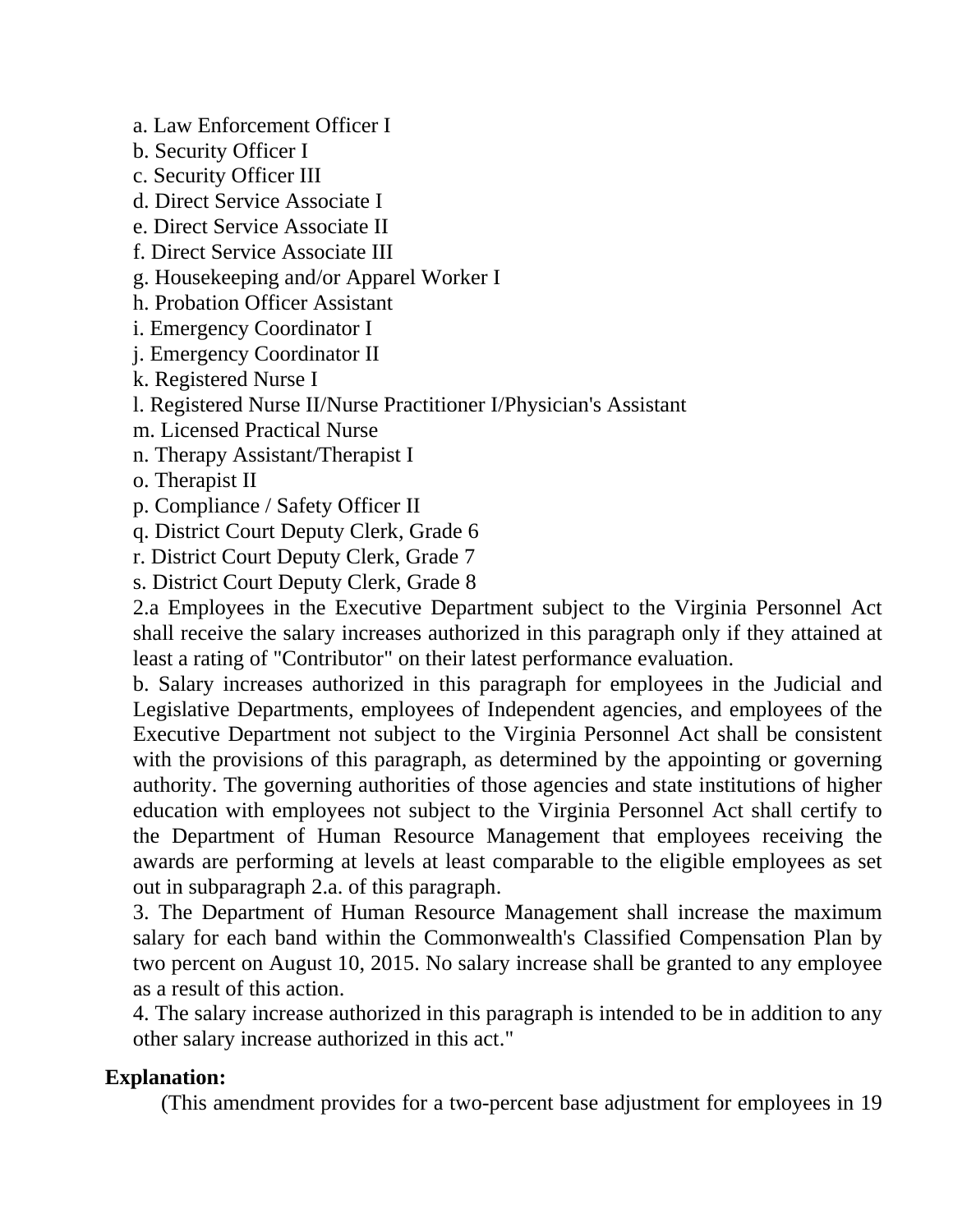a. Law Enforcement Officer I

b. Security Officer I

c. Security Officer III

d. Direct Service Associate I

e. Direct Service Associate II

f. Direct Service Associate III

g. Housekeeping and/or Apparel Worker I

h. Probation Officer Assistant

i. Emergency Coordinator I

j. Emergency Coordinator II

k. Registered Nurse I

l. Registered Nurse II/Nurse Practitioner I/Physician's Assistant

m. Licensed Practical Nurse

n. Therapy Assistant/Therapist I

o. Therapist II

p. Compliance / Safety Officer II

q. District Court Deputy Clerk, Grade 6

r. District Court Deputy Clerk, Grade 7

s. District Court Deputy Clerk, Grade 8

2.a Employees in the Executive Department subject to the Virginia Personnel Act shall receive the salary increases authorized in this paragraph only if they attained at least a rating of "Contributor" on their latest performance evaluation.

b. Salary increases authorized in this paragraph for employees in the Judicial and Legislative Departments, employees of Independent agencies, and employees of the Executive Department not subject to the Virginia Personnel Act shall be consistent with the provisions of this paragraph, as determined by the appointing or governing authority. The governing authorities of those agencies and state institutions of higher education with employees not subject to the Virginia Personnel Act shall certify to the Department of Human Resource Management that employees receiving the awards are performing at levels at least comparable to the eligible employees as set out in subparagraph 2.a. of this paragraph.

3. The Department of Human Resource Management shall increase the maximum salary for each band within the Commonwealth's Classified Compensation Plan by two percent on August 10, 2015. No salary increase shall be granted to any employee as a result of this action.

4. The salary increase authorized in this paragraph is intended to be in addition to any other salary increase authorized in this act."

# **Explanation:**

(This amendment provides for a two-percent base adjustment for employees in 19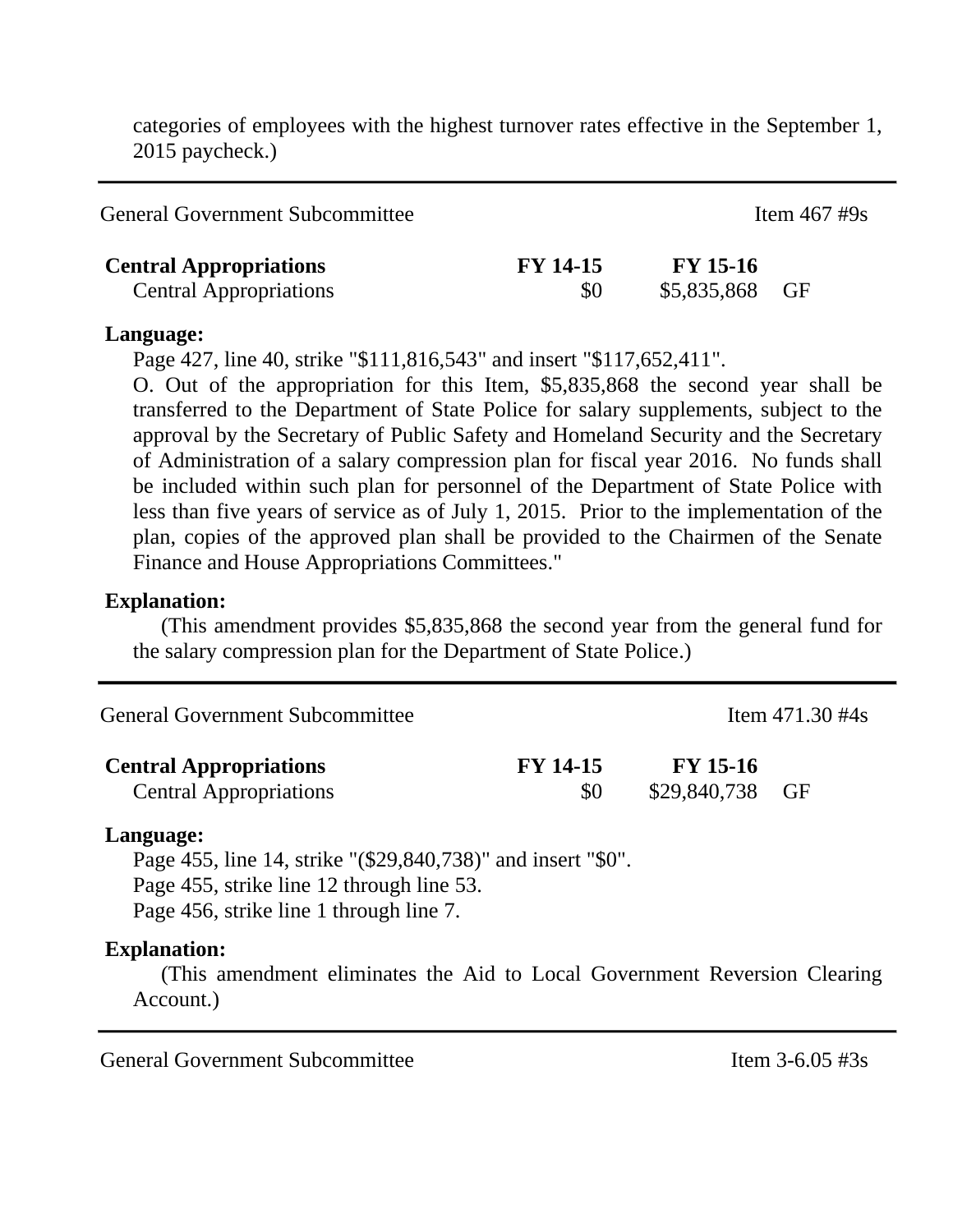categories of employees with the highest turnover rates effective in the September 1, 2015 paycheck.)

| <b>General Government Subcommittee</b>                         |                        |                                   | Item $467 \text{ #9s}$ |  |
|----------------------------------------------------------------|------------------------|-----------------------------------|------------------------|--|
| <b>Central Appropriations</b><br><b>Central Appropriations</b> | <b>FY 14-15</b><br>\$0 | <b>FY</b> 15-16<br>\$5,835,868 GF |                        |  |

#### **Language:**

Page 427, line 40, strike "\$111,816,543" and insert "\$117,652,411".

O. Out of the appropriation for this Item, \$5,835,868 the second year shall be transferred to the Department of State Police for salary supplements, subject to the approval by the Secretary of Public Safety and Homeland Security and the Secretary of Administration of a salary compression plan for fiscal year 2016. No funds shall be included within such plan for personnel of the Department of State Police with less than five years of service as of July 1, 2015. Prior to the implementation of the plan, copies of the approved plan shall be provided to the Chairmen of the Senate Finance and House Appropriations Committees."

#### **Explanation:**

(This amendment provides \$5,835,868 the second year from the general fund for the salary compression plan for the Department of State Police.)

| <b>General Government Subcommittee</b> |                 |                 | Item $471.30 \text{ #4s}$ |
|----------------------------------------|-----------------|-----------------|---------------------------|
| <b>Central Appropriations</b>          | <b>FY 14-15</b> | <b>FY 15-16</b> |                           |
| <b>Central Appropriations</b>          | \$0             | \$29,840,738 GF |                           |

#### **Language:**

Page 455, line 14, strike "(\$29,840,738)" and insert "\$0". Page 455, strike line 12 through line 53. Page 456, strike line 1 through line 7.

#### **Explanation:**

(This amendment eliminates the Aid to Local Government Reversion Clearing Account.)